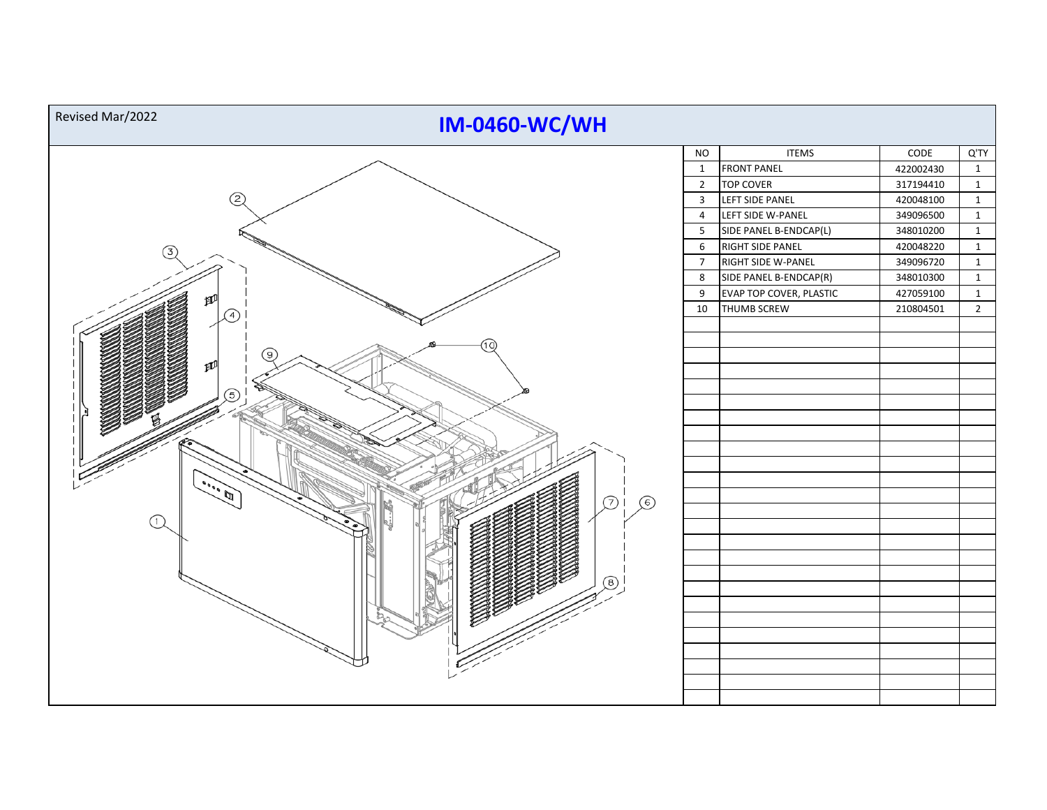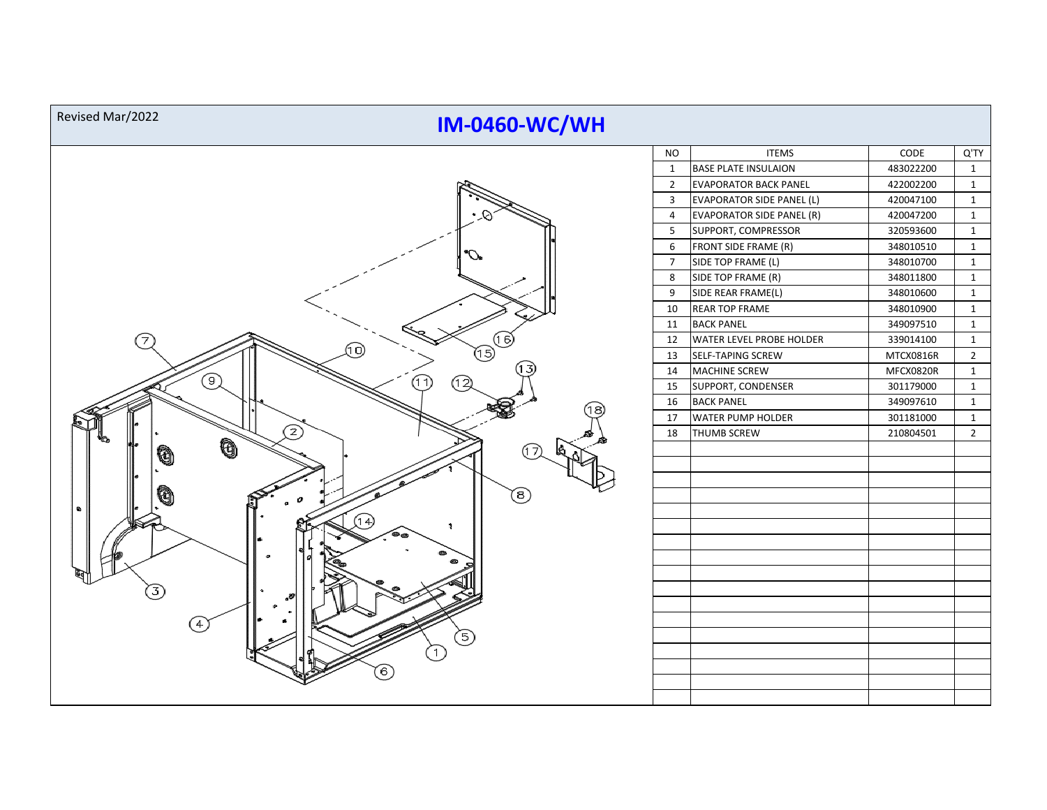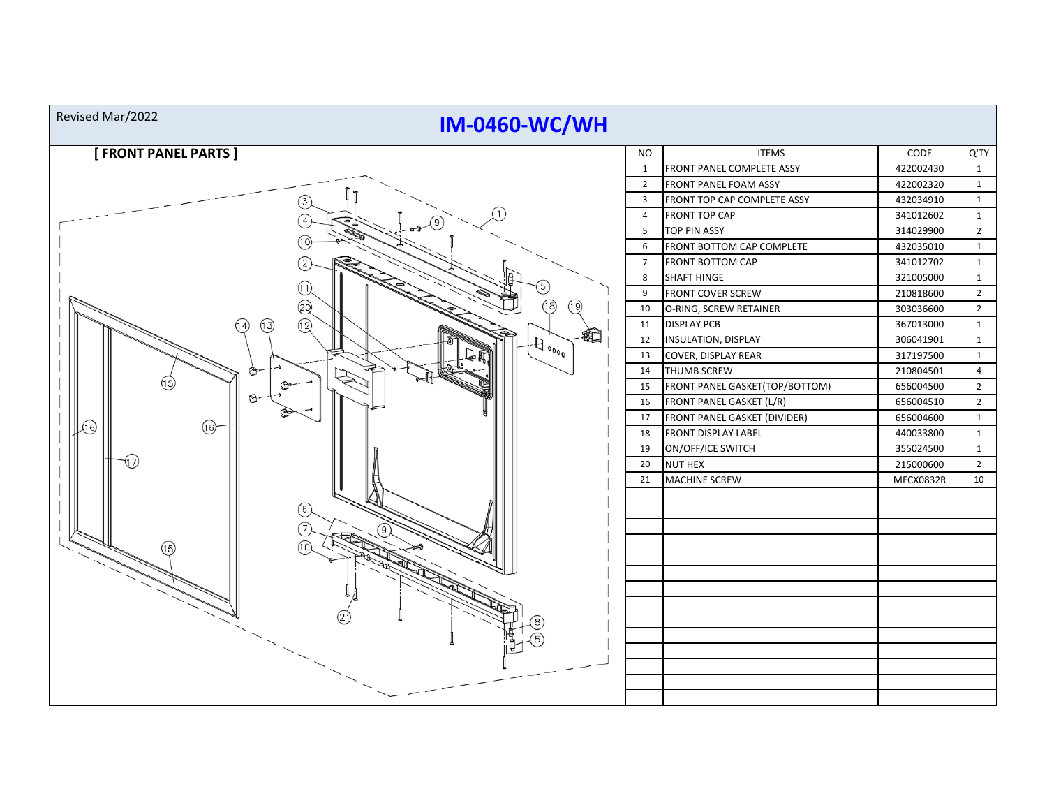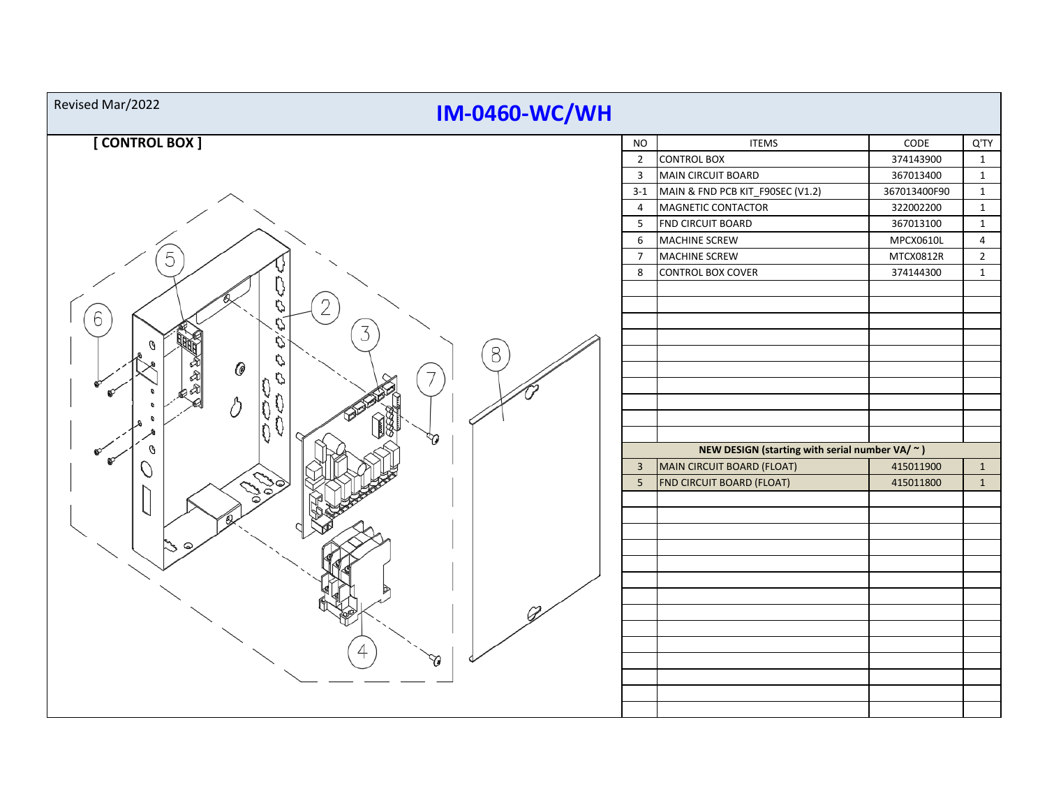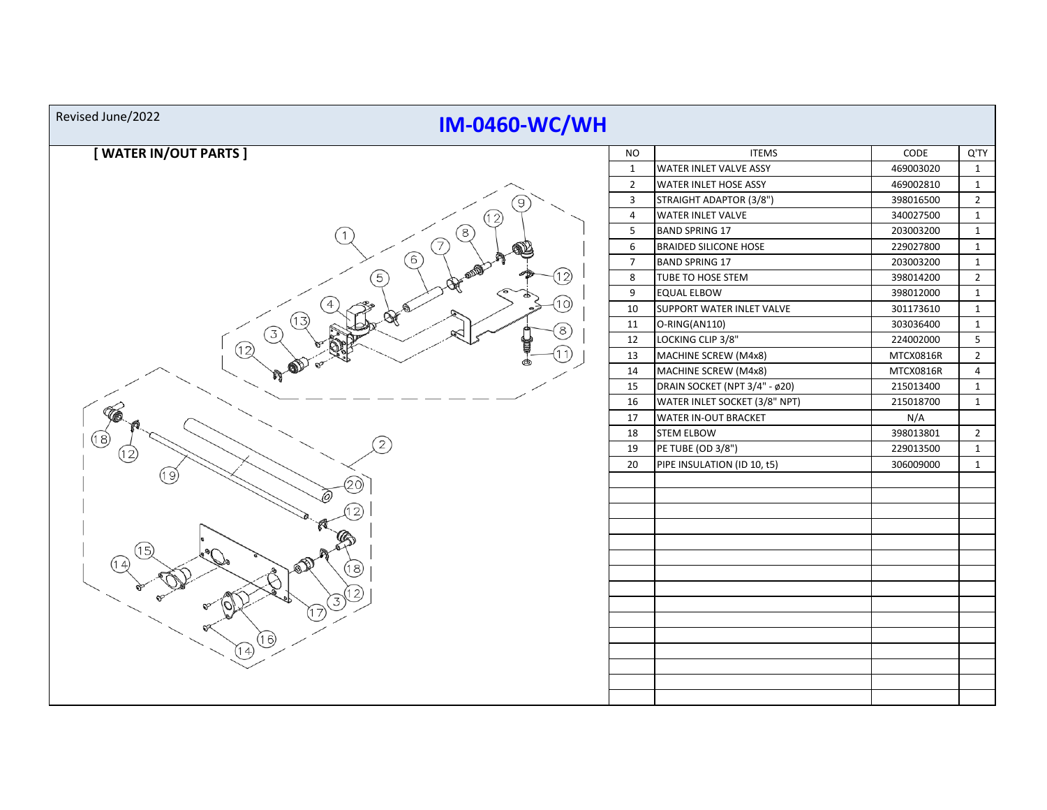| Revised June/2022<br><b>IM-0460-WC/WH</b> |                |                               |           |                |  |  |  |  |
|-------------------------------------------|----------------|-------------------------------|-----------|----------------|--|--|--|--|
| [WATER IN/OUT PARTS]                      | <b>NO</b>      | <b>ITEMS</b>                  | CODE      | Q'TY           |  |  |  |  |
|                                           | $\mathbf{1}$   | <b>WATER INLET VALVE ASSY</b> | 469003020 | $\mathbf{1}$   |  |  |  |  |
|                                           | $\overline{2}$ | <b>WATER INLET HOSE ASSY</b>  | 469002810 | $\mathbf{1}$   |  |  |  |  |
| 9                                         | $\overline{3}$ | STRAIGHT ADAPTOR (3/8")       | 398016500 | $\overline{2}$ |  |  |  |  |
| 12)                                       | $\overline{4}$ | WATER INLET VALVE             | 340027500 | $\mathbf{1}$   |  |  |  |  |
| ້8                                        | $\overline{5}$ | <b>BAND SPRING 17</b>         | 203003200 | $\mathbf{1}$   |  |  |  |  |
|                                           | 6              | <b>BRAIDED SILICONE HOSE</b>  | 229027800 | $\mathbf{1}$   |  |  |  |  |
| 6                                         | $\overline{7}$ | <b>BAND SPRING 17</b>         | 203003200 | $\mathbf{1}$   |  |  |  |  |
| 12)                                       | 8              | TUBE TO HOSE STEM             | 398014200 | $\overline{2}$ |  |  |  |  |
|                                           | 9              | <b>EQUAL ELBOW</b>            | 398012000 | $\mathbf{1}$   |  |  |  |  |
| (10)                                      | 10             | SUPPORT WATER INLET VALVE     | 301173610 | $\mathbf{1}$   |  |  |  |  |
| <b>RA</b><br>13<br>(8)                    | 11             | O-RING(AN110)                 | 303036400 | $\mathbf{1}$   |  |  |  |  |
| 3                                         | 12             | LOCKING CLIP 3/8"             | 224002000 | $\overline{5}$ |  |  |  |  |
| 12)                                       | 13             | MACHINE SCREW (M4x8)          | MTCX0816R | $\overline{2}$ |  |  |  |  |
|                                           | 14             | MACHINE SCREW (M4x8)          | MTCX0816R | $\overline{4}$ |  |  |  |  |
|                                           | 15             | DRAIN SOCKET (NPT 3/4" - ø20) | 215013400 | $\mathbf{1}$   |  |  |  |  |
|                                           | 16             | WATER INLET SOCKET (3/8" NPT) | 215018700 | $\mathbf{1}$   |  |  |  |  |
|                                           | $17\,$         | WATER IN-OUT BRACKET          | N/A       |                |  |  |  |  |
| 18)                                       | 18             | <b>STEM ELBOW</b>             | 398013801 | $\overline{2}$ |  |  |  |  |
|                                           | 19             | PE TUBE (OD 3/8")             | 229013500 | $\mathbf{1}$   |  |  |  |  |
|                                           | 20             | PIPE INSULATION (ID 10, t5)   | 306009000 | $\mathbf{1}$   |  |  |  |  |
| (19)                                      |                |                               |           |                |  |  |  |  |
|                                           |                |                               |           |                |  |  |  |  |
|                                           |                |                               |           |                |  |  |  |  |
|                                           |                |                               |           |                |  |  |  |  |
| 5.                                        |                |                               |           |                |  |  |  |  |
|                                           |                |                               |           |                |  |  |  |  |
| (18)                                      |                |                               |           |                |  |  |  |  |
|                                           |                |                               |           |                |  |  |  |  |
|                                           |                |                               |           |                |  |  |  |  |
|                                           |                |                               |           |                |  |  |  |  |
| 6)                                        |                |                               |           |                |  |  |  |  |
| $\overline{4}$                            |                |                               |           |                |  |  |  |  |
|                                           |                |                               |           |                |  |  |  |  |
|                                           |                |                               |           |                |  |  |  |  |
|                                           |                |                               |           |                |  |  |  |  |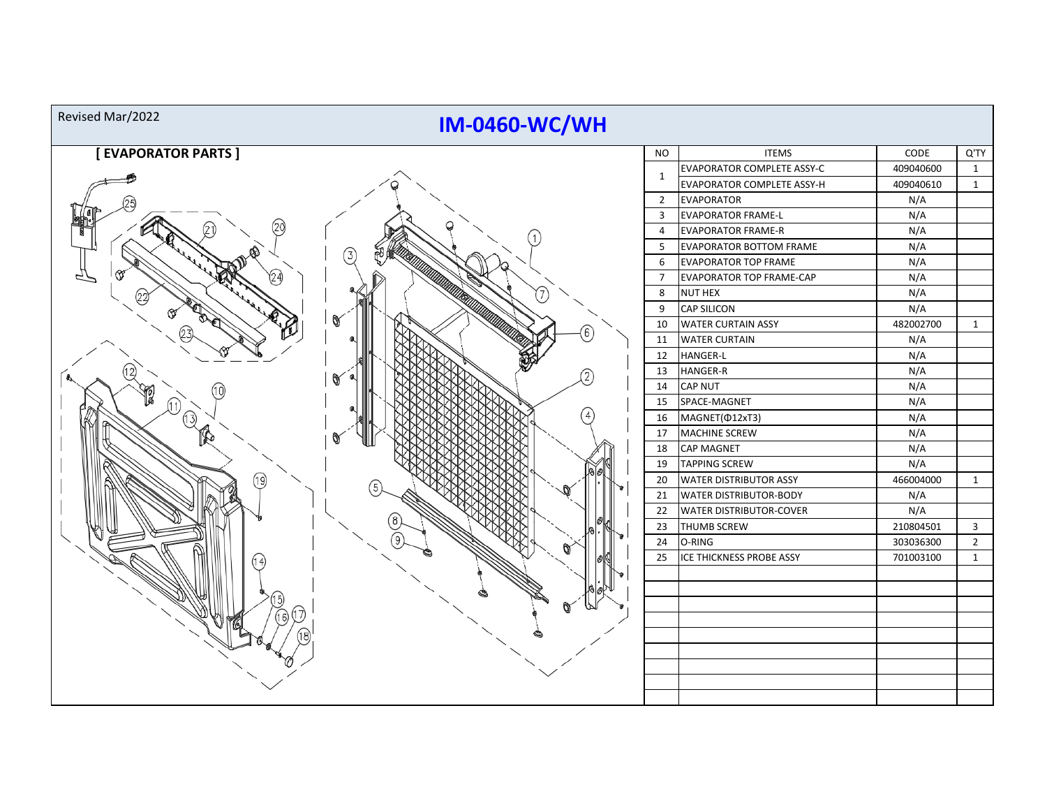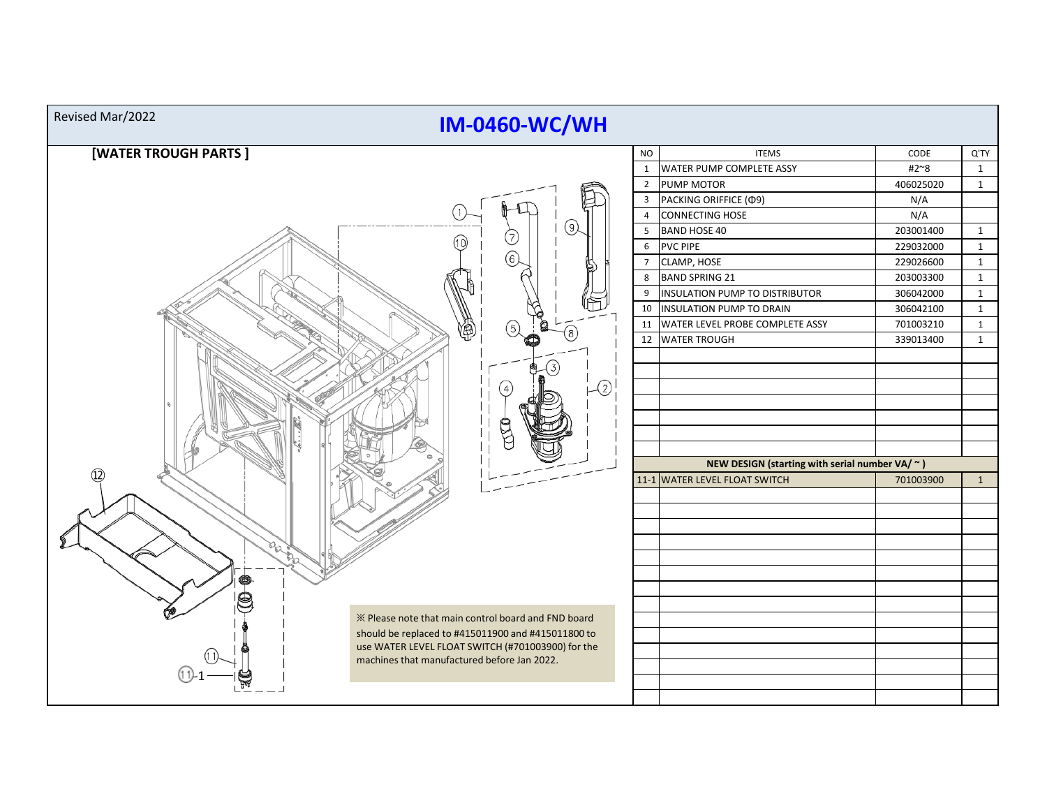| Revised Mar/2022<br><b>IM-0460-WC/WH</b>            |                                                    |                                                |                                       |           |              |  |  |  |  |
|-----------------------------------------------------|----------------------------------------------------|------------------------------------------------|---------------------------------------|-----------|--------------|--|--|--|--|
| [WATER TROUGH PARTS]                                |                                                    | <b>NO</b>                                      | <b>ITEMS</b>                          | CODE      | Q'TY         |  |  |  |  |
|                                                     |                                                    |                                                | 1   WATER PUMP COMPLETE ASSY          | #2~8      | $\mathbf{1}$ |  |  |  |  |
|                                                     |                                                    |                                                | 2 PUMP MOTOR                          | 406025020 | $\mathbf{1}$ |  |  |  |  |
|                                                     |                                                    |                                                | 3 PACKING ORIFFICE (Ф9)               | N/A       |              |  |  |  |  |
|                                                     |                                                    | $\overline{4}$                                 | CONNECTING HOSE                       | N/A       |              |  |  |  |  |
|                                                     |                                                    | 5                                              | <b>BAND HOSE 40</b>                   | 203001400 | $\mathbf{1}$ |  |  |  |  |
| 10)                                                 |                                                    | 6                                              | <b>PVC PIPE</b>                       | 229032000 | $\mathbf{1}$ |  |  |  |  |
|                                                     |                                                    | $7^{\circ}$                                    | CLAMP, HOSE                           | 229026600 | $\mathbf{1}$ |  |  |  |  |
|                                                     |                                                    | 8                                              | <b>BAND SPRING 21</b>                 | 203003300 | $\mathbf{1}$ |  |  |  |  |
|                                                     |                                                    | 9                                              | <b>INSULATION PUMP TO DISTRIBUTOR</b> | 306042000 | $\mathbf{1}$ |  |  |  |  |
|                                                     |                                                    |                                                | 10 INSULATION PUMP TO DRAIN           | 306042100 | $\mathbf{1}$ |  |  |  |  |
| B                                                   |                                                    |                                                | 11 WATER LEVEL PROBE COMPLETE ASSY    | 701003210 | $\mathbf{1}$ |  |  |  |  |
|                                                     |                                                    |                                                | 12 WATER TROUGH                       | 339013400 | $\mathbf{1}$ |  |  |  |  |
|                                                     |                                                    |                                                |                                       |           |              |  |  |  |  |
|                                                     |                                                    |                                                |                                       |           |              |  |  |  |  |
|                                                     | - 2                                                |                                                |                                       |           |              |  |  |  |  |
|                                                     |                                                    |                                                |                                       |           |              |  |  |  |  |
|                                                     |                                                    |                                                |                                       |           |              |  |  |  |  |
|                                                     |                                                    |                                                |                                       |           |              |  |  |  |  |
|                                                     |                                                    |                                                |                                       |           |              |  |  |  |  |
|                                                     |                                                    | NEW DESIGN (starting with serial number VA/ ~) |                                       |           |              |  |  |  |  |
| (12)                                                |                                                    |                                                | 11-1 WATER LEVEL FLOAT SWITCH         | 701003900 | $\mathbf{1}$ |  |  |  |  |
|                                                     |                                                    |                                                |                                       |           |              |  |  |  |  |
|                                                     |                                                    |                                                |                                       |           |              |  |  |  |  |
|                                                     |                                                    |                                                |                                       |           |              |  |  |  |  |
|                                                     |                                                    |                                                |                                       |           |              |  |  |  |  |
|                                                     |                                                    |                                                |                                       |           |              |  |  |  |  |
|                                                     |                                                    |                                                |                                       |           |              |  |  |  |  |
|                                                     |                                                    |                                                |                                       |           |              |  |  |  |  |
|                                                     |                                                    |                                                |                                       |           |              |  |  |  |  |
| X Please note that main control board and FND board |                                                    |                                                |                                       |           |              |  |  |  |  |
|                                                     | should be replaced to #415011900 and #415011800 to |                                                |                                       |           |              |  |  |  |  |
| machines that manufactured before Jan 2022.         | use WATER LEVEL FLOAT SWITCH (#701003900) for the  |                                                |                                       |           |              |  |  |  |  |
|                                                     |                                                    |                                                |                                       |           |              |  |  |  |  |
|                                                     |                                                    |                                                |                                       |           |              |  |  |  |  |
|                                                     |                                                    |                                                |                                       |           |              |  |  |  |  |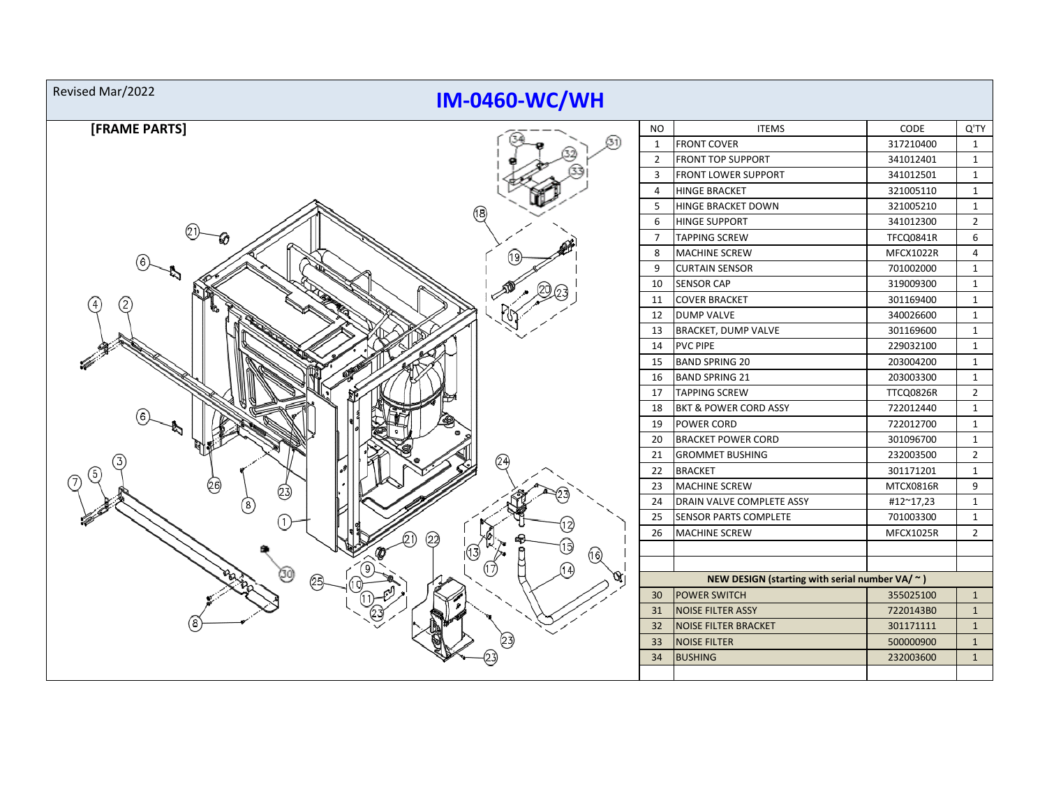